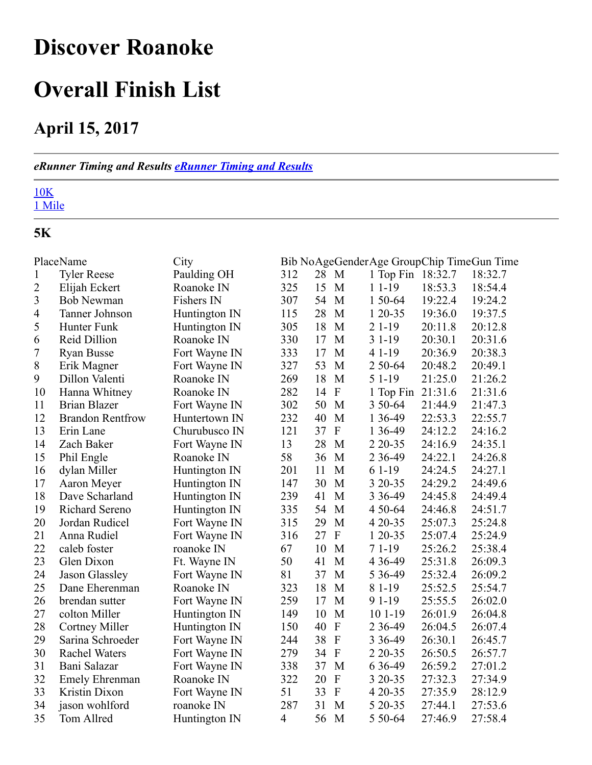# <span id="page-0-0"></span>Discover Roanoke

# Overall Finish List

### April 15, 2017

#### *eRunner Timing and Results [eRunner](http://www.erunner.biz/) Timing and Results*

## 10K

Mile

### 5K

|                  | PlaceName               | City          |                |    |                           | Bib NoAgeGenderAge GroupChip TimeGun Time |         |         |
|------------------|-------------------------|---------------|----------------|----|---------------------------|-------------------------------------------|---------|---------|
| $\mathbf{1}$     | <b>Tyler Reese</b>      | Paulding OH   | 312            | 28 | M                         | 1 Top Fin 18:32.7                         |         | 18:32.7 |
| $\overline{2}$   | Elijah Eckert           | Roanoke IN    | 325            | 15 | M                         | $11-19$                                   | 18:53.3 | 18:54.4 |
| 3                | <b>Bob Newman</b>       | Fishers IN    | 307            | 54 | M                         | 1 50-64                                   | 19:22.4 | 19:24.2 |
| $\overline{4}$   | Tanner Johnson          | Huntington IN | 115            | 28 | M                         | $120-35$                                  | 19:36.0 | 19:37.5 |
| 5                | Hunter Funk             | Huntington IN | 305            | 18 | M                         | $21-19$                                   | 20:11.8 | 20:12.8 |
| 6                | Reid Dillion            | Roanoke IN    | 330            | 17 | M                         | $31-19$                                   | 20:30.1 | 20:31.6 |
| $\boldsymbol{7}$ | <b>Ryan Busse</b>       | Fort Wayne IN | 333            | 17 | M                         | 4 1 - 19                                  | 20:36.9 | 20:38.3 |
| $8\,$            | Erik Magner             | Fort Wayne IN | 327            | 53 | M                         | 2 50 - 64                                 | 20:48.2 | 20:49.1 |
| 9                | Dillon Valenti          | Roanoke IN    | 269            | 18 | M                         | $51-19$                                   | 21:25.0 | 21:26.2 |
| 10               | Hanna Whitney           | Roanoke IN    | 282            | 14 | $\boldsymbol{\mathrm{F}}$ | 1 Top Fin                                 | 21:31.6 | 21:31.6 |
| 11               | <b>Brian Blazer</b>     | Fort Wayne IN | 302            | 50 | M                         | 3 50-64                                   | 21:44.9 | 21:47.3 |
| 12               | <b>Brandon Rentfrow</b> | Huntertown IN | 232            | 40 | M                         | 1 36-49                                   | 22:53.3 | 22:55.7 |
| 13               | Erin Lane               | Churubusco IN | 121            | 37 | $\overline{F}$            | 1 36-49                                   | 24:12.2 | 24:16.2 |
| 14               | Zach Baker              | Fort Wayne IN | 13             | 28 | M                         | 2 2 0 - 3 5                               | 24:16.9 | 24:35.1 |
| 15               | Phil Engle              | Roanoke IN    | 58             | 36 | M                         | 2 3 6 - 4 9                               | 24:22.1 | 24:26.8 |
| 16               | dylan Miller            | Huntington IN | 201            | 11 | M                         | $61-19$                                   | 24:24.5 | 24:27.1 |
| 17               | Aaron Meyer             | Huntington IN | 147            | 30 | M                         | 3 20 - 35                                 | 24:29.2 | 24:49.6 |
| 18               | Dave Scharland          | Huntington IN | 239            | 41 | M                         | 3 3 6 - 4 9                               | 24:45.8 | 24:49.4 |
| 19               | Richard Sereno          | Huntington IN | 335            | 54 | M                         | 4 50 - 64                                 | 24:46.8 | 24:51.7 |
| 20               | Jordan Rudicel          | Fort Wayne IN | 315            | 29 | M                         | 4 20 - 35                                 | 25:07.3 | 25:24.8 |
| 21               | Anna Rudiel             | Fort Wayne IN | 316            | 27 | $\boldsymbol{F}$          | 1 20-35                                   | 25:07.4 | 25:24.9 |
| 22               | caleb foster            | roanoke IN    | 67             | 10 | M                         | $71-19$                                   | 25:26.2 | 25:38.4 |
| 23               | Glen Dixon              | Ft. Wayne IN  | 50             | 41 | M                         | 4 3 6 - 4 9                               | 25:31.8 | 26:09.3 |
| 24               | Jason Glassley          | Fort Wayne IN | 81             | 37 | M                         | 5 3 6 - 4 9                               | 25:32.4 | 26:09.2 |
| 25               | Dane Eherenman          | Roanoke IN    | 323            | 18 | M                         | 8 1 - 19                                  | 25:52.5 | 25:54.7 |
| 26               | brendan sutter          | Fort Wayne IN | 259            | 17 | M                         | 9 1 - 19                                  | 25:55.5 | 26:02.0 |
| 27               | colton Miller           | Huntington IN | 149            | 10 | M                         | $101 - 19$                                | 26:01.9 | 26:04.8 |
| 28               | <b>Cortney Miller</b>   | Huntington IN | 150            | 40 | $\mathbf F$               | 2 3 6 - 4 9                               | 26:04.5 | 26:07.4 |
| 29               | Sarina Schroeder        | Fort Wayne IN | 244            | 38 | $\mathbf F$               | 3 3 6 - 4 9                               | 26:30.1 | 26:45.7 |
| 30               | <b>Rachel Waters</b>    | Fort Wayne IN | 279            | 34 | $\mathbf{F}$              | 2 2 0 - 3 5                               | 26:50.5 | 26:57.7 |
| 31               | Bani Salazar            | Fort Wayne IN | 338            | 37 | M                         | 6 3 6 - 49                                | 26:59.2 | 27:01.2 |
| 32               | <b>Emely Ehrenman</b>   | Roanoke IN    | 322            | 20 | $\boldsymbol{\mathrm{F}}$ | 3 20 - 35                                 | 27:32.3 | 27:34.9 |
| 33               | Kristin Dixon           | Fort Wayne IN | 51             | 33 | $\boldsymbol{\mathrm{F}}$ | 4 20 - 35                                 | 27:35.9 | 28:12.9 |
| 34               | jason wohlford          | roanoke IN    | 287            | 31 | M                         | 5 20 - 35                                 | 27:44.1 | 27:53.6 |
| 35               | Tom Allred              | Huntington IN | $\overline{4}$ | 56 | M                         | 5 50-64                                   | 27:46.9 | 27:58.4 |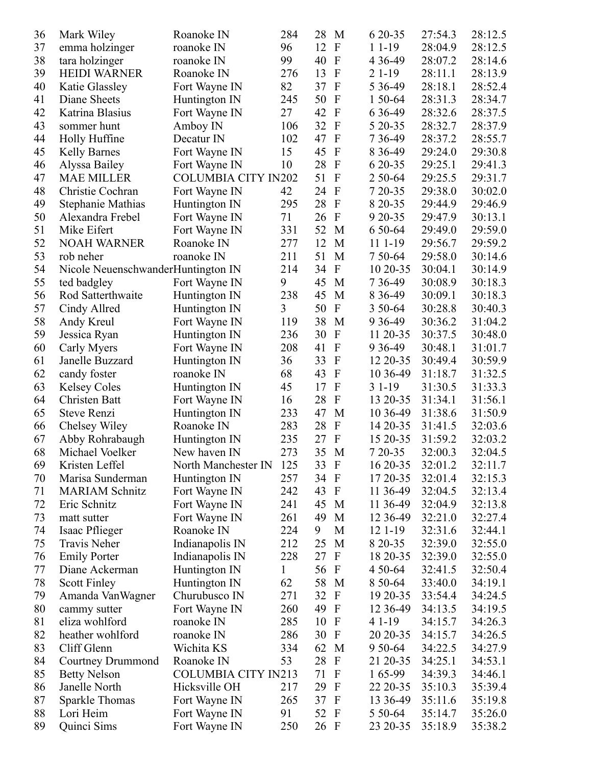| 36 | Mark Wiley                         | Roanoke IN                 | 284 | 28   | M                         | 6 20 - 35           | 27:54.3 | 28:12.5 |
|----|------------------------------------|----------------------------|-----|------|---------------------------|---------------------|---------|---------|
| 37 | emma holzinger                     | roanoke IN                 | 96  | 12   | $\boldsymbol{\mathrm{F}}$ | $11-19$             | 28:04.9 | 28:12.5 |
| 38 | tara holzinger                     | roanoke IN                 | 99  | 40   | $\mathbf{F}$              | 4 3 6 - 4 9         | 28:07.2 | 28:14.6 |
| 39 | <b>HEIDI WARNER</b>                | Roanoke IN                 | 276 | 13   | $\mathbf{F}$              | $21-19$             | 28:11.1 | 28:13.9 |
| 40 | Katie Glassley                     | Fort Wayne IN              | 82  | 37   | $\mathbf{F}$              | 5 3 6 - 4 9         | 28:18.1 | 28:52.4 |
| 41 | Diane Sheets                       | Huntington IN              | 245 | 50   | $\mathbf{F}$              | 1 50-64             | 28:31.3 | 28:34.7 |
| 42 | Katrina Blasius                    | Fort Wayne IN              | 27  | 42   | $\mathbf{F}$              | 6 3 6 - 49          | 28:32.6 | 28:37.5 |
| 43 | sommer hunt                        | Amboy IN                   | 106 | 32   | $\mathbf{F}$              | 5 20 - 35           | 28:32.7 | 28:37.9 |
| 44 | Holly Huffine                      | Decatur IN                 | 102 | 47   | $\mathbf{F}$              | 7 3 6 - 4 9         | 28:37.2 | 28:55.7 |
| 45 | <b>Kelly Barnes</b>                | Fort Wayne IN              | 15  | 45   | $\mathbf{F}$              | 8 3 6 - 4 9         | 29:24.0 | 29:30.8 |
| 46 | Alyssa Bailey                      | Fort Wayne IN              | 10  | 28   | $\mathbf{F}$              | 6 20 - 35           | 29:25.1 | 29:41.3 |
| 47 | <b>MAE MILLER</b>                  | <b>COLUMBIA CITY IN202</b> |     | 51   | $\mathbf{F}$              | 2 50-64             | 29:25.5 | 29:31.7 |
| 48 | Christie Cochran                   | Fort Wayne IN              | 42  | 24   | $\mathbf{F}$              | 7 20 - 35           | 29:38.0 | 30:02.0 |
| 49 | Stephanie Mathias                  | Huntington IN              | 295 | 28   | $\mathbf{F}$              | 8 20 - 35           | 29:44.9 | 29:46.9 |
| 50 | Alexandra Frebel                   | Fort Wayne IN              | 71  | 26   | $\mathbf{F}$              | 9 20 - 35           | 29:47.9 | 30:13.1 |
| 51 | Mike Eifert                        | Fort Wayne IN              | 331 | 52   | M                         | 6 50 - 64           | 29:49.0 | 29:59.0 |
| 52 | <b>NOAH WARNER</b>                 | Roanoke IN                 | 277 | 12   | M                         | 11 1-19             | 29:56.7 | 29:59.2 |
| 53 | rob neher                          | roanoke IN                 | 211 | 51   | M                         | 7 50 - 64           | 29:58.0 | 30:14.6 |
| 54 | Nicole NeuenschwanderHuntington IN |                            | 214 | 34   | $\boldsymbol{\mathrm{F}}$ | 10 20 - 35          | 30:04.1 | 30:14.9 |
| 55 | ted badgley                        | Fort Wayne IN              | 9   | 45   | M                         | 7 3 6 - 4 9         | 30:08.9 | 30:18.3 |
| 56 | Rod Satterthwaite                  | Huntington IN              | 238 | 45   | M                         | 8 3 6 - 4 9         | 30:09.1 | 30:18.3 |
| 57 | Cindy Allred                       | Huntington IN              | 3   | 50   | $\mathbf{F}$              | 3 50 - 64           | 30:28.8 | 30:40.3 |
| 58 | Andy Kreul                         | Fort Wayne IN              | 119 | 38   | M                         | 9 3 6 - 49          | 30:36.2 | 31:04.2 |
| 59 | Jessica Ryan                       | Huntington IN              | 236 | 30   | $\mathbf{F}$              | 11 20-35            | 30:37.5 | 30:48.0 |
| 60 | Carly Myers                        | Fort Wayne IN              | 208 | 41   | $\overline{F}$            | 9 3 6 - 49          | 30:48.1 | 31:01.7 |
| 61 | Janelle Buzzard                    | Huntington IN              | 36  | 33   | $\mathbf{F}$              | 12 20 - 35          | 30:49.4 | 30:59.9 |
| 62 |                                    |                            | 68  | 43   | $\mathbf{F}$              |                     | 31:18.7 |         |
|    | candy foster                       | roanoke IN                 | 45  | 17   | $\mathbf{F}$              | 10 36 - 49          |         | 31:32.5 |
| 63 | <b>Kelsey Coles</b>                | Huntington IN              |     |      | $\mathbf{F}$              | $31-19$<br>13 20-35 | 31:30.5 | 31:33.3 |
| 64 | Christen Batt                      | Fort Wayne IN              | 16  | 28   |                           |                     | 31:34.1 | 31:56.1 |
| 65 | Steve Renzi                        | Huntington IN              | 233 | 47   | M                         | 10 36 - 49          | 31:38.6 | 31:50.9 |
| 66 | Chelsey Wiley                      | Roanoke IN                 | 283 | 28   | $\mathbf{F}$              | 14 20-35            | 31:41.5 | 32:03.6 |
| 67 | Abby Rohrabaugh                    | Huntington IN              | 235 | 27   | $\mathbf{F}$              | 15 20-35            | 31:59.2 | 32:03.2 |
| 68 | Michael Voelker                    | New haven IN               | 273 | 35   | M                         | 7 20-35             | 32:00.3 | 32:04.5 |
| 69 | Kristen Leffel                     | North Manchester IN        | 125 | 33   | $\boldsymbol{\mathrm{F}}$ | 16 20 - 35          | 32:01.2 | 32:11.7 |
| 70 | Marisa Sunderman                   | Huntington IN              | 257 | 34   | $\mathbf F$               | 17 20 - 35          | 32:01.4 | 32:15.3 |
| 71 | <b>MARIAM Schnitz</b>              | Fort Wayne IN              | 242 | 43   | $\Gamma$                  | 11 36-49            | 32:04.5 | 32:13.4 |
| 72 | Eric Schnitz                       | Fort Wayne IN              | 241 | 45   | M                         | 11 36-49            | 32:04.9 | 32:13.8 |
| 73 | matt sutter                        | Fort Wayne IN              | 261 | 49   | M                         | 12 36 - 49          | 32:21.0 | 32:27.4 |
| 74 | Isaac Pflieger                     | Roanoke IN                 | 224 | 9    | M                         | $121 - 19$          | 32:31.6 | 32:44.1 |
| 75 | Travis Neher                       | Indianapolis IN            | 212 | 25   | M                         | 8 20 - 35           | 32:39.0 | 32:55.0 |
| 76 | <b>Emily Porter</b>                | Indianapolis IN            | 228 | 27   | $\mathbf{F}$              | 18 20 - 35          | 32:39.0 | 32:55.0 |
| 77 | Diane Ackerman                     | Huntington IN              | 1   | 56   | $\boldsymbol{F}$          | 4 50 - 64           | 32:41.5 | 32:50.4 |
| 78 | <b>Scott Finley</b>                | Huntington IN              | 62  | 58   | M                         | 8 50 - 64           | 33:40.0 | 34:19.1 |
| 79 | Amanda VanWagner                   | Churubusco IN              | 271 | 32   | $\mathbf F$               | 19 20 - 35          | 33:54.4 | 34:24.5 |
| 80 | cammy sutter                       | Fort Wayne IN              | 260 | 49   | $\mathbf{F}$              | 12 36 - 49          | 34:13.5 | 34:19.5 |
| 81 | eliza wohlford                     | roanoke IN                 | 285 | 10   | $\mathbf{F}$              | 4 1 - 19            | 34:15.7 | 34:26.3 |
| 82 | heather wohlford                   | roanoke IN                 | 286 | 30   | $\mathbf{F}$              | 20 20 - 35          | 34:15.7 | 34:26.5 |
| 83 | Cliff Glenn                        | Wichita KS                 | 334 | 62   | M                         | 9 50 - 64           | 34:22.5 | 34:27.9 |
| 84 | Courtney Drummond                  | Roanoke IN                 | 53  | 28   | $\mathbf{F}$              | 21 20-35            | 34:25.1 | 34:53.1 |
| 85 | <b>Betty Nelson</b>                | <b>COLUMBIA CITY IN213</b> |     | 71   | $\mathbf{F}$              | 165-99              | 34:39.3 | 34:46.1 |
| 86 | Janelle North                      | Hicksville OH              | 217 | 29   | $\mathbf F$               | 22 20-35            | 35:10.3 | 35:39.4 |
| 87 | Sparkle Thomas                     | Fort Wayne IN              | 265 | 37   | $\mathbf{F}$              | 13 36 - 49          | 35:11.6 | 35:19.8 |
| 88 | Lori Heim                          | Fort Wayne IN              | 91  | 52   | $\mathbf F$               | 5 50 - 64           | 35:14.7 | 35:26.0 |
| 89 | Quinci Sims                        | Fort Wayne IN              | 250 | 26 F |                           | 23 20 - 35          | 35:18.9 | 35:38.2 |
|    |                                    |                            |     |      |                           |                     |         |         |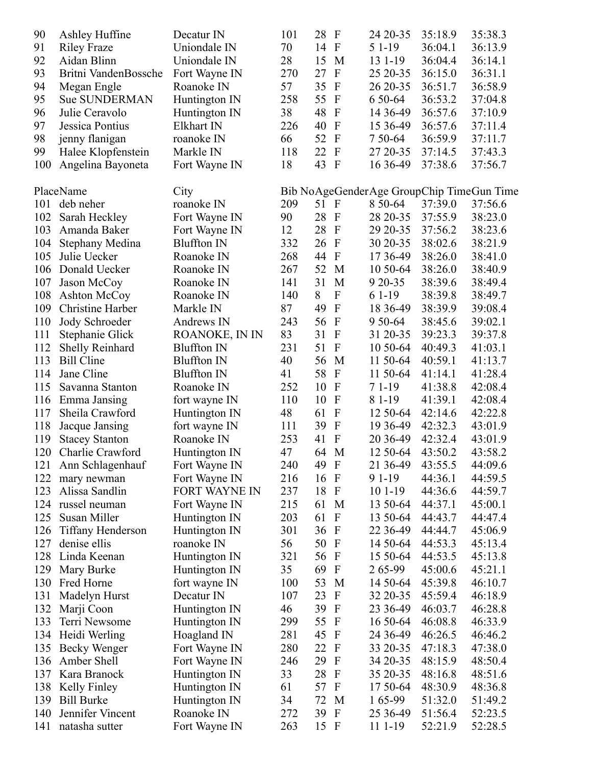| 90  | Ashley Huffine           | Decatur IN           | 101 | 28<br>$\mathbf{F}$              | 24 20 - 35                                | 35:18.9 | 35:38.3 |
|-----|--------------------------|----------------------|-----|---------------------------------|-------------------------------------------|---------|---------|
| 91  | <b>Riley Fraze</b>       | Uniondale IN         | 70  | 14<br>$\mathbf F$               | 5 1 - 19                                  | 36:04.1 | 36:13.9 |
| 92  | Aidan Blinn              | Uniondale IN         | 28  | 15<br>M                         | 13 1 - 19                                 | 36:04.4 | 36:14.1 |
| 93  | Britni VandenBossche     | Fort Wayne IN        | 270 | $\mathbf{F}$<br>27              | 25 20 - 35                                | 36:15.0 | 36:31.1 |
| 94  | Megan Engle              | Roanoke IN           | 57  | 35<br>$\Gamma$                  | 26 20-35                                  | 36:51.7 | 36:58.9 |
| 95  | <b>Sue SUNDERMAN</b>     | Huntington IN        | 258 | 55<br>$\mathbf F$               | 6 50 - 64                                 | 36:53.2 | 37:04.8 |
| 96  | Julie Ceravolo           | Huntington IN        | 38  | 48<br>$\Gamma$                  | 14 36-49                                  | 36:57.6 | 37:10.9 |
| 97  | Jessica Pontius          | Elkhart IN           | 226 | $\mathbf F$<br>40               | 15 36 - 49                                | 36:57.6 | 37:11.4 |
| 98  | jenny flanigan           | roanoke IN           | 66  | 52<br>$\mathbf{F}$              | 7 50 - 64                                 | 36:59.9 | 37:11.7 |
| 99  | Halee Klopfenstein       | Markle IN            | 118 | 22<br>$\mathbf{F}$              | 27 20-35                                  | 37:14.5 | 37:43.3 |
| 100 | Angelina Bayoneta        | Fort Wayne IN        | 18  | 43<br>$\Gamma$                  | 16 36 - 49                                | 37:38.6 | 37:56.7 |
|     | PlaceName                |                      |     |                                 |                                           |         |         |
|     |                          | City                 |     |                                 | Bib NoAgeGenderAge GroupChip TimeGun Time |         |         |
| 101 | deb neher                | roanoke IN           | 209 | 51 F                            | 8 50 - 64                                 | 37:39.0 | 37:56.6 |
| 102 | Sarah Heckley            | Fort Wayne IN        | 90  | 28<br>$\mathbf F$               | 28 20-35                                  | 37:55.9 | 38:23.0 |
| 103 | Amanda Baker             | Fort Wayne IN        | 12  | 28<br>$\mathbf{F}$              | 29 20 - 35                                | 37:56.2 | 38:23.6 |
| 104 | Stephany Medina          | <b>Bluffton IN</b>   | 332 | $\mathbf F$<br>26               | 30 20-35                                  | 38:02.6 | 38:21.9 |
| 105 | Julie Uecker             | Roanoke IN           | 268 | 44<br>$\mathbf{F}$              | 17 36-49                                  | 38:26.0 | 38:41.0 |
| 106 | Donald Uecker            | Roanoke IN           | 267 | 52<br>M                         | 10 50 - 64                                | 38:26.0 | 38:40.9 |
| 107 | Jason McCoy              | Roanoke IN           | 141 | 31<br>M                         | 9 20 - 35                                 | 38:39.6 | 38:49.4 |
| 108 | <b>Ashton McCoy</b>      | Roanoke IN           | 140 | 8<br>$\boldsymbol{F}$           | $61-19$                                   | 38:39.8 | 38:49.7 |
| 109 | <b>Christine Harber</b>  | Markle IN            | 87  | 49<br>$\mathbf F$               | 18 36-49                                  | 38:39.9 | 39:08.4 |
| 110 | Jody Schroeder           | Andrews IN           | 243 | 56<br>$\boldsymbol{\mathrm{F}}$ | 9 50 - 64                                 | 38:45.6 | 39:02.1 |
| 111 | Stephanie Glick          | ROANOKE, IN IN       | 83  | 31<br>$\mathbf F$               | 31 20-35                                  | 39:23.3 | 39:37.8 |
| 112 | Shelly Reinhard          | <b>Bluffton IN</b>   | 231 | 51<br>$\mathbf{F}$              | 10 50-64                                  | 40:49.3 | 41:03.1 |
| 113 | <b>Bill Cline</b>        | <b>Bluffton IN</b>   | 40  | 56<br>M                         | 11 50-64                                  | 40:59.1 | 41:13.7 |
| 114 | Jane Cline               | <b>Bluffton IN</b>   | 41  | 58<br>$\mathbf F$               | 11 50-64                                  | 41:14.1 | 41:28.4 |
| 115 | Savanna Stanton          | Roanoke IN           | 252 | 10<br>$\Gamma$                  | $71-19$                                   | 41:38.8 | 42:08.4 |
| 116 | Emma Jansing             | fort wayne IN        | 110 | $\mathbf F$<br>10               | 8 1 - 19                                  | 41:39.1 | 42:08.4 |
| 117 | Sheila Crawford          | Huntington IN        | 48  | $\mathbf{F}$<br>61              | 12 50 - 64                                | 42:14.6 | 42:22.8 |
| 118 | Jacque Jansing           | fort wayne IN        | 111 | 39<br>$\mathbf{F}$              | 19 36 - 49                                | 42:32.3 | 43:01.9 |
| 119 | <b>Stacey Stanton</b>    | Roanoke IN           | 253 | $\boldsymbol{F}$<br>41          | 20 36-49                                  | 42:32.4 | 43:01.9 |
| 120 | Charlie Crawford         | Huntington IN        | 47  | 64<br>M                         | 12 50-64                                  | 43:50.2 | 43:58.2 |
| 121 | Ann Schlagenhauf         | Fort Wayne IN        | 240 | 49 F                            | 21 36-49                                  | 43:55.5 | 44:09.6 |
| 122 | mary newman              | Fort Wayne IN        | 216 | $\mathbf F$<br>16               | 9 1 - 19                                  | 44:36.1 | 44:59.5 |
| 123 | Alissa Sandlin           | <b>FORT WAYNE IN</b> | 237 | 18<br>$\mathbf F$               | 10 1-19                                   | 44:36.6 | 44:59.7 |
| 124 | russel neuman            | Fort Wayne IN        | 215 | 61<br>M                         | 13 50-64                                  | 44:37.1 | 45:00.1 |
| 125 | Susan Miller             | Huntington IN        | 203 | 61<br>$\mathbf{F}$              | 13 50-64                                  | 44:43.7 | 44:47.4 |
| 126 | <b>Tiffany Henderson</b> | Huntington IN        | 301 | 36<br>$\mathbf F$               | 22 36 - 49                                | 44:44.7 | 45:06.9 |
| 127 | denise ellis             | roanoke IN           | 56  | 50<br>$\mathbf{F}$              | 14 50-64                                  | 44:53.3 | 45:13.4 |
| 128 | Linda Keenan             | Huntington IN        | 321 | 56<br>$\mathbf F$               | 15 50-64                                  | 44:53.5 | 45:13.8 |
| 129 | Mary Burke               | Huntington IN        | 35  | 69<br>$\boldsymbol{\mathrm{F}}$ | 2 65-99                                   | 45:00.6 | 45:21.1 |
| 130 | Fred Horne               | fort wayne IN        | 100 | 53<br>M                         | 14 50 - 64                                | 45:39.8 | 46:10.7 |
| 131 | Madelyn Hurst            | Decatur IN           | 107 | 23<br>$\mathbf F$               | 32 20-35                                  | 45:59.4 | 46:18.9 |
| 132 | Marji Coon               |                      | 46  | 39<br>$\mathbf{F}$              | 23 36 - 49                                | 46:03.7 | 46:28.8 |
| 133 | Terri Newsome            | Huntington IN        | 299 | 55<br>$\mathbf F$               |                                           | 46:08.8 |         |
|     |                          | Huntington IN        |     | $\mathbf F$                     | 16 50-64                                  |         | 46:33.9 |
| 134 | Heidi Werling            | Hoagland IN          | 281 | 45                              | 24 36 - 49                                | 46:26.5 | 46:46.2 |
| 135 | Becky Wenger             | Fort Wayne IN        | 280 | 22<br>$\mathbf F$               | 33 20-35                                  | 47:18.3 | 47:38.0 |
| 136 | Amber Shell              | Fort Wayne IN        | 246 | 29<br>$\mathbf F$               | 34 20-35                                  | 48:15.9 | 48:50.4 |
| 137 | Kara Branock             | Huntington IN        | 33  | 28<br>$\mathbf{F}$              | 35 20-35                                  | 48:16.8 | 48:51.6 |
| 138 | Kelly Finley             | Huntington IN        | 61  | 57<br>$\mathbf F$               | 17 50-64                                  | 48:30.9 | 48:36.8 |
| 139 | <b>Bill Burke</b>        | Huntington IN        | 34  | 72<br>M                         | 165-99                                    | 51:32.0 | 51:49.2 |
| 140 | Jennifer Vincent         | Roanoke IN           | 272 | 39<br>$\mathbf{F}$              | 25 36 - 49                                | 51:56.4 | 52:23.5 |
| 141 | natasha sutter           | Fort Wayne IN        | 263 | 15 F                            | 11 1 - 19                                 | 52:21.9 | 52:28.5 |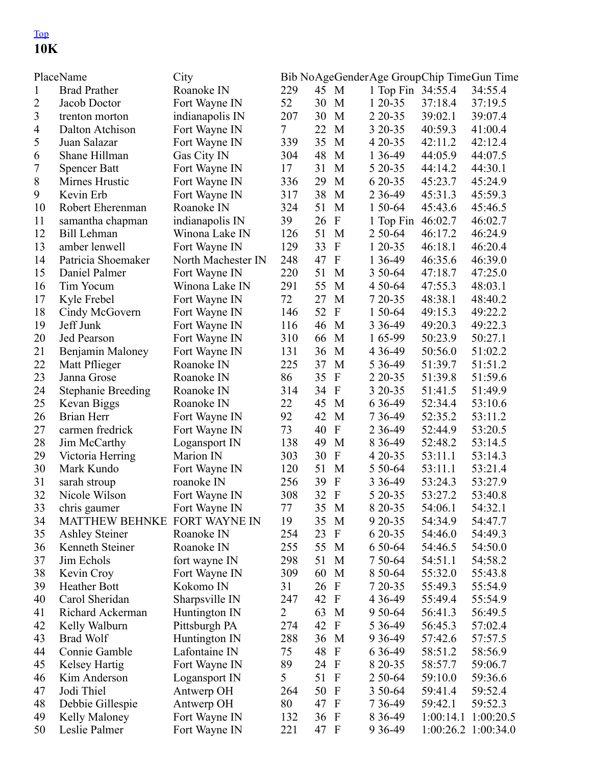#### [Top](#page-0-0) 10K

| PlaceName<br>City |                           |                    | Bib NoAgeGenderAge GroupChip TimeGun Time |      |                           |                   |           |                         |  |  |
|-------------------|---------------------------|--------------------|-------------------------------------------|------|---------------------------|-------------------|-----------|-------------------------|--|--|
| $\mathbf{1}$      | <b>Brad Prather</b>       | Roanoke IN         | 229                                       | 45   | M                         | 1 Top Fin 34:55.4 |           | 34:55.4                 |  |  |
| 2                 | Jacob Doctor              | Fort Wayne IN      | 52                                        | 30   | M                         | 1 20-35           | 37:18.4   | 37:19.5                 |  |  |
| 3                 | trenton morton            | indianapolis IN    | 207                                       | 30   | M                         | 2 2 0 - 3 5       | 39:02.1   | 39:07.4                 |  |  |
| $\overline{4}$    | Dalton Atchison           | Fort Wayne IN      | $7\overline{ }$                           | 22   | M                         | 3 20 - 35         | 40:59.3   | 41:00.4                 |  |  |
| $\mathfrak s$     | Juan Salazar              | Fort Wayne IN      | 339                                       | 35   | M                         | 4 20 - 35         | 42:11.2   | 42:12.4                 |  |  |
| 6                 | Shane Hillman             | Gas City IN        | 304                                       | 48   | M                         | 1 36-49           | 44:05.9   | 44:07.5                 |  |  |
| $\boldsymbol{7}$  | <b>Spencer Batt</b>       | Fort Wayne IN      | 17                                        | 31   | M                         | 5 20 - 35         | 44:14.2   | 44:30.1                 |  |  |
| $8\,$             | Mirnes Hrustic            | Fort Wayne IN      | 336                                       | 29   | M                         | 6 20 - 35         | 45:23.7   | 45:24.9                 |  |  |
| 9                 | Kevin Erb                 | Fort Wayne IN      | 317                                       | 38   | M                         | 2 3 6 - 4 9       | 45:31.3   | 45:59.3                 |  |  |
| 10                | Robert Eherenman          | Roanoke IN         | 324                                       | 51   | M                         | 1 50-64           | 45:43.6   | 45:46.5                 |  |  |
| 11                | samantha chapman          | indianapolis IN    | 39                                        | 26   | $\boldsymbol{F}$          | 1 Top Fin         | 46:02.7   | 46:02.7                 |  |  |
| 12                | <b>Bill Lehman</b>        | Winona Lake IN     | 126                                       | 51   | M                         | 2 50-64           | 46:17.2   | 46:24.9                 |  |  |
| 13                | amber lenwell             | Fort Wayne IN      | 129                                       | 33   | $\boldsymbol{\mathrm{F}}$ | $120-35$          | 46:18.1   | 46:20.4                 |  |  |
| 14                | Patricia Shoemaker        | North Machester IN | 248                                       | 47   | $\boldsymbol{F}$          | 1 36-49           | 46:35.6   | 46:39.0                 |  |  |
| 15                | Daniel Palmer             | Fort Wayne IN      | 220                                       | 51   | M                         | 3 50-64           | 47:18.7   | 47:25.0                 |  |  |
| 16                | Tim Yocum                 | Winona Lake IN     | 291                                       | 55   | M                         | 4 50 - 64         | 47:55.3   | 48:03.1                 |  |  |
| 17                | Kyle Frebel               | Fort Wayne IN      | 72                                        | 27   | M                         | 7 20 - 35         | 48:38.1   | 48:40.2                 |  |  |
| 18                | Cindy McGovern            | Fort Wayne IN      | 146                                       | 52   | $\mathbf F$               | 1 50-64           | 49:15.3   | 49:22.2                 |  |  |
| 19                | Jeff Junk                 | Fort Wayne IN      | 116                                       | 46   | M                         | 3 3 6 - 4 9       | 49:20.3   | 49:22.3                 |  |  |
| 20                | Jed Pearson               | Fort Wayne IN      | 310                                       | 66   | M                         | 165-99            | 50:23.9   | 50:27.1                 |  |  |
| 21                | Benjamin Maloney          | Fort Wayne IN      | 131                                       | 36   | M                         | 4 3 6 - 4 9       | 50:56.0   | 51:02.2                 |  |  |
| 22                | Matt Pflieger             | Roanoke IN         | 225                                       | 37   | M                         | 5 3 6 - 4 9       | 51:39.7   | 51:51.2                 |  |  |
| 23                | Janna Grose               | Roanoke IN         | 86                                        | 35   | $\mathbf{F}$              | 2 2 0 - 3 5       | 51:39.8   | 51:59.6                 |  |  |
| 24                | <b>Stephanie Breeding</b> | Roanoke IN         | 314                                       | 34   | $\mathbf{F}$              | 3 20 - 35         | 51:41.5   | 51:49.9                 |  |  |
| 25                | Kevan Biggs               | Roanoke IN         | 22                                        | 45   | M                         | 6 3 6 - 49        | 52:34.4   | 53:10.6                 |  |  |
| 26                | Brian Herr                | Fort Wayne IN      | 92                                        | 42   | M                         | 7 3 6 - 4 9       | 52:35.2   | 53:11.2                 |  |  |
| 27                | carmen fredrick           | Fort Wayne IN      | 73                                        | 40   | $\mathbf F$               | 2 3 6 - 4 9       | 52:44.9   | 53:20.5                 |  |  |
| 28                | Jim McCarthy              | Logansport IN      | 138                                       | 49   | M                         | 8 3 6 - 4 9       | 52:48.2   | 53:14.5                 |  |  |
| 29                | Victoria Herring          | Marion IN          | 303                                       | 30   | ${\bf F}$                 | $420 - 35$        | 53:11.1   | 53:14.3                 |  |  |
| 30                | Mark Kundo                | Fort Wayne IN      | 120                                       | 51   | M                         | 5 50-64           | 53:11.1   | 53:21.4                 |  |  |
| 31                | sarah stroup              | roanoke IN         | 256                                       | 39   | $\mathbf F$               | 3 3 6 - 4 9       | 53:24.3   | 53:27.9                 |  |  |
| 32                | Nicole Wilson             | Fort Wayne IN      | 308                                       | 32   | $\Gamma$                  | 5 20 - 35         | 53:27.2   | 53:40.8                 |  |  |
| 33                | chris gaumer              | Fort Wayne IN      | 77                                        | 35 M |                           | 8 20-35           | 54:06.1   | 54:32.1                 |  |  |
| 34                | <b>MATTHEW BEHNKE</b>     | FORT WAYNE IN      | 19                                        | 35   | M                         | 9 20 - 35         | 54:34.9   | 54:47.7                 |  |  |
| 35                | <b>Ashley Steiner</b>     | Roanoke IN         | 254                                       | 23   | $\mathbf{F}$              | 6 20 - 35         | 54:46.0   | 54:49.3                 |  |  |
| 36                | Kenneth Steiner           | Roanoke IN         | 255                                       | 55   | M                         | 6 50 - 64         | 54:46.5   | 54:50.0                 |  |  |
| 37                | Jim Echols                | fort wayne IN      | 298                                       | 51   | M                         | 7 50-64           | 54:51.1   | 54:58.2                 |  |  |
| 38                | Kevin Croy                | Fort Wayne IN      | 309                                       | 60   | M                         | 8 50 - 64         | 55:32.0   | 55:43.8                 |  |  |
| 39                | <b>Heather Bott</b>       | Kokomo IN          | 31                                        | 26   | $\mathbf F$               | 7 20-35           | 55:49.3   | 55:54.9                 |  |  |
| 40                | Carol Sheridan            | Sharpsville IN     | 247                                       | 42   | $\mathbf F$               | 4 3 6 - 4 9       | 55:49.4   | 55:54.9                 |  |  |
| 41                | Richard Ackerman          | Huntington IN      | $\overline{2}$                            | 63   | M                         | 9 50 - 64         | 56:41.3   | 56:49.5                 |  |  |
| 42                | Kelly Walburn             | Pittsburgh PA      | 274                                       | 42   | $\mathbf{F}$              | 5 3 6 - 4 9       | 56:45.3   | 57:02.4                 |  |  |
| 43                | <b>Brad Wolf</b>          | Huntington IN      | 288                                       | 36   | M                         | 9 3 6 - 49        | 57:42.6   | 57:57.5                 |  |  |
| 44                | Connie Gamble             | Lafontaine IN      | 75                                        | 48   | $\mathbf F$               | 6 3 6 - 49        | 58:51.2   | 58:56.9                 |  |  |
| 45                | <b>Kelsey Hartig</b>      | Fort Wayne IN      | 89                                        | 24   | $\mathbf{F}$              | 8 20 - 35         | 58:57.7   | 59:06.7                 |  |  |
| 46                | Kim Anderson              | Logansport IN      | 5                                         | 51   | $\mathbf F$               | 2 50-64           | 59:10.0   | 59:36.6                 |  |  |
| 47                | Jodi Thiel                | Antwerp OH         | 264                                       | 50   | $\mathbf{F}$              | 3 50-64           | 59:41.4   | 59:52.4                 |  |  |
| 48                | Debbie Gillespie          | Antwerp OH         | 80                                        | 47   | $\mathbf F$               | 7 3 6 - 49        | 59:42.1   | 59:52.3                 |  |  |
| 49                | Kelly Maloney             | Fort Wayne IN      | 132                                       | 36   | $\mathbf{F}$              | 8 3 6 - 4 9       | 1:00:14.1 | 1:00:20.5               |  |  |
| 50                | Leslie Palmer             | Fort Wayne IN      | 221                                       | 47 F |                           | 9 3 6 - 49        |           | $1:00:26.2$ $1:00:34.0$ |  |  |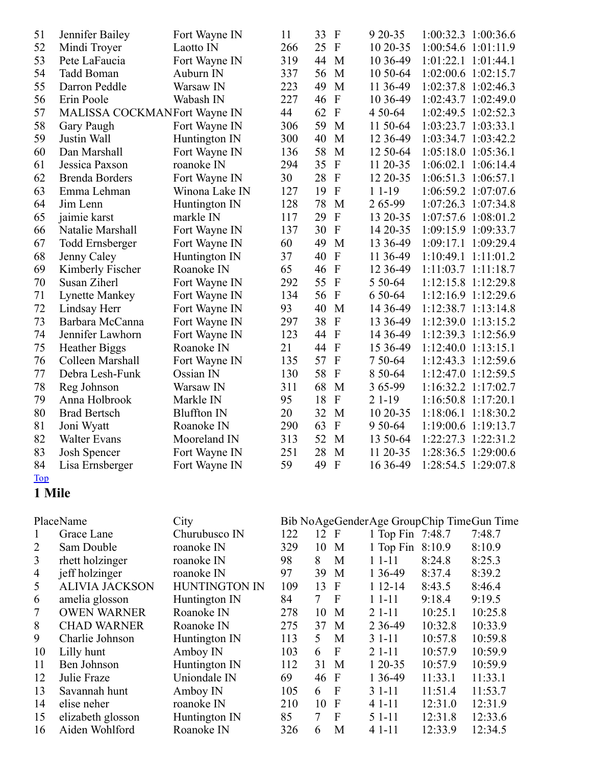| 51 | Jennifer Bailey              | Fort Wayne IN      | 11  | 33<br>$\mathbf{F}$              | 9 20 - 35   | 1:00:32.3 1:00:36.6     |
|----|------------------------------|--------------------|-----|---------------------------------|-------------|-------------------------|
| 52 | Mindi Troyer                 | Laotto IN          | 266 | 25<br>$\mathbf{F}$              | 10 20-35    | 1:00:54.6 1:01:11.9     |
| 53 | Pete LaFaucia                | Fort Wayne IN      | 319 | 44<br>M                         | 10 36-49    | $1:01:22.1$ $1:01:44.1$ |
| 54 | Tadd Boman                   | Auburn IN          | 337 | 56<br>M                         | 10 50-64    | 1:02:00.6 1:02:15.7     |
| 55 | Darron Peddle                | Warsaw IN          | 223 | 49<br>M                         | 11 36-49    | 1:02:37.8 1:02:46.3     |
| 56 | Erin Poole                   | Wabash IN          | 227 | $\overline{F}$<br>46            | 10 36-49    | 1:02:43.7 1:02:49.0     |
| 57 | MALISSA COCKMANFort Wayne IN |                    | 44  | $\overline{F}$<br>62            | 4 50 - 64   | 1:02:49.5 1:02:52.3     |
| 58 | Gary Paugh                   | Fort Wayne IN      | 306 | 59<br>M                         | 11 50-64    | 1:03:23.7 1:03:33.1     |
| 59 | Justin Wall                  | Huntington IN      | 300 | 40<br>M                         | 12 36 - 49  | 1:03:34.7 1:03:42.2     |
| 60 | Dan Marshall                 | Fort Wayne IN      | 136 | 58<br>M                         | 12 50-64    | 1:05:18.0 1:05:36.1     |
| 61 | Jessica Paxson               | roanoke IN         | 294 | 35<br>$\overline{F}$            | 11 20-35    | 1:06:02.1 1:06:14.4     |
| 62 | <b>Brenda Borders</b>        | Fort Wayne IN      | 30  | 28<br>$\mathbf{F}$              | 12 20-35    | 1:06:51.3 1:06:57.1     |
| 63 | Emma Lehman                  | Winona Lake IN     | 127 | $\overline{F}$<br>19            | $11-19$     | 1:06:59.2 1:07:07.6     |
| 64 | Jim Lenn                     | Huntington IN      | 128 | 78<br>M                         | 265-99      | 1:07:26.3 1:07:34.8     |
| 65 | jaimie karst                 | markle IN          | 117 | $\mathbf{F}$<br>29              | 13 20 - 35  | 1:07:57.6 1:08:01.2     |
| 66 | Natalie Marshall             | Fort Wayne IN      | 137 | 30<br>$\mathbf{F}$              | 14 20-35    | 1:09:15.9 1:09:33.7     |
| 67 | <b>Todd Ernsberger</b>       | Fort Wayne IN      | 60  | 49<br>M                         | 13 36 - 49  | 1:09:17.1 1:09:29.4     |
| 68 | Jenny Caley                  | Huntington IN      | 37  | $\boldsymbol{\mathrm{F}}$<br>40 | 11 36-49    | 1:10:49.1 1:11:01.2     |
| 69 | Kimberly Fischer             | Roanoke IN         | 65  | 46<br>$\mathbf{F}$              | 12 36-49    | $1:11:03.7$ $1:11:18.7$ |
| 70 | Susan Ziherl                 | Fort Wayne IN      | 292 | 55<br>$\mathbf{F}$              | 5 50 - 64   | 1:12:15.8 1:12:29.8     |
| 71 | <b>Lynette Mankey</b>        | Fort Wayne IN      | 134 | $\mathbf{F}$<br>56              | 6 50 - 64   | 1:12:16.9 1:12:29.6     |
| 72 | Lindsay Herr                 | Fort Wayne IN      | 93  | 40<br>M                         | 14 3 6 - 49 | 1:12:38.7 1:13:14.8     |
| 73 | Barbara McCanna              | Fort Wayne IN      | 297 | $\mathbf{F}$<br>38              | 13 36-49    | 1:12:39.0 1:13:15.2     |
| 74 | Jennifer Lawhorn             | Fort Wayne IN      | 123 | 44<br>$\mathbf{F}$              | 14 36 - 49  | 1:12:39.3 1:12:56.9     |
| 75 | <b>Heather Biggs</b>         | Roanoke IN         | 21  | $\mathbf{F}$<br>44              | 15 36-49    | $1:12:40.0$ $1:13:15.1$ |
| 76 | Colleen Marshall             | Fort Wayne IN      | 135 | 57<br>$\overline{F}$            | 7 50-64     | 1:12:43.3 1:12:59.6     |
| 77 | Debra Lesh-Funk              | Ossian IN          | 130 | 58<br>$\overline{F}$            | 8 50 - 64   | 1:12:47.0 1:12:59.5     |
| 78 | Reg Johnson                  | Warsaw IN          | 311 | 68<br>M                         | 3 65-99     | $1:16:32.2$ $1:17:02.7$ |
| 79 | Anna Holbrook                | Markle IN          | 95  | 18<br>$\mathbf{F}$              | $21-19$     | 1:16:50.8 1:17:20.1     |
| 80 | <b>Brad Bertsch</b>          | <b>Bluffton IN</b> | 20  | 32<br>M                         | 10 20-35    | 1:18:06.1 1:18:30.2     |
| 81 | Joni Wyatt                   | Roanoke IN         | 290 | 63<br>$\mathbf{F}$              | 9 50 - 64   | 1:19:00.6 1:19:13.7     |
| 82 | <b>Walter Evans</b>          | Mooreland IN       | 313 | 52<br>M                         | 13 50-64    | 1:22:27.3 1:22:31.2     |
| 83 | <b>Josh Spencer</b>          | Fort Wayne IN      | 251 | 28<br>M                         | 11 20-35    | 1:28:36.5 1:29:00.6     |
| 84 | Lisa Ernsberger              | Fort Wayne IN      | 59  | $\overline{F}$<br>49            | 16 36 - 49  | 1:28:54.5 1:29:07.8     |

[Top](#page-0-0)

Mile

| PlaceName<br>City |                       | Bib NoAgeGenderAge GroupChip TimeGun Time |     |                |              |                  |         |         |  |
|-------------------|-----------------------|-------------------------------------------|-----|----------------|--------------|------------------|---------|---------|--|
|                   | Grace Lane            | Churubusco IN                             | 122 | 12             | $\mathbf{F}$ | 1 Top Fin 7:48.7 |         | 7:48.7  |  |
| 2                 | Sam Double            | roanoke IN                                | 329 | 10             | M            | 1 Top Fin        | 8:10.9  | 8:10.9  |  |
| 3                 | rhett holzinger       | roanoke IN                                | 98  | 8              | M            | $11 - 11$        | 8:24.8  | 8:25.3  |  |
| 4                 | jeff holzinger        | roanoke IN                                | 97  | 39             | M            | 1 3 6 - 4 9      | 8:37.4  | 8:39.2  |  |
| 5                 | <b>ALIVIA JACKSON</b> | <b>HUNTINGTON IN</b>                      | 109 | 13             | $\mathbf{F}$ | $112-14$         | 8:43.5  | 8:46.4  |  |
| 6                 | amelia glosson        | Huntington IN                             | 84  | 7 <sup>7</sup> | $\mathbf{F}$ | $11-11$          | 9:18.4  | 9:19.5  |  |
| 7                 | <b>OWEN WARNER</b>    | Roanoke IN                                | 278 | 10             | M            | $21-11$          | 10:25.1 | 10:25.8 |  |
| 8                 | <b>CHAD WARNER</b>    | Roanoke IN                                | 275 | 37             | $\mathbf{M}$ | 2 3 6 - 4 9      | 10:32.8 | 10:33.9 |  |
| 9                 | Charlie Johnson       | Huntington IN                             | 113 | 5              | M            | $31-11$          | 10:57.8 | 10:59.8 |  |
| 10                | Lilly hunt            | Amboy IN                                  | 103 | 6              | $\mathbf{F}$ | $21-11$          | 10:57.9 | 10:59.9 |  |
| 11                | Ben Johnson           | Huntington IN                             | 112 | 31             | M            | $120-35$         | 10:57.9 | 10:59.9 |  |
| 12                | Julie Fraze           | Uniondale IN                              | 69  | 46 F           |              | 1 3 6 - 4 9      | 11:33.1 | 11:33.1 |  |
| 13                | Savannah hunt         | Amboy IN                                  | 105 | 6              | $\mathbf F$  | $31-11$          | 11:51.4 | 11:53.7 |  |
| 14                | elise neher           | roanoke IN                                | 210 | 10             | $\mathbf{F}$ | $41-11$          | 12:31.0 | 12:31.9 |  |
| 15                | elizabeth glosson     | Huntington IN                             | 85  | $\tau$         | $\mathbf F$  | 5 1 - 11         | 12:31.8 | 12:33.6 |  |
| 16                | Aiden Wohlford        | Roanoke IN                                | 326 | 6              | M            | $41-11$          | 12:33.9 | 12:34.5 |  |